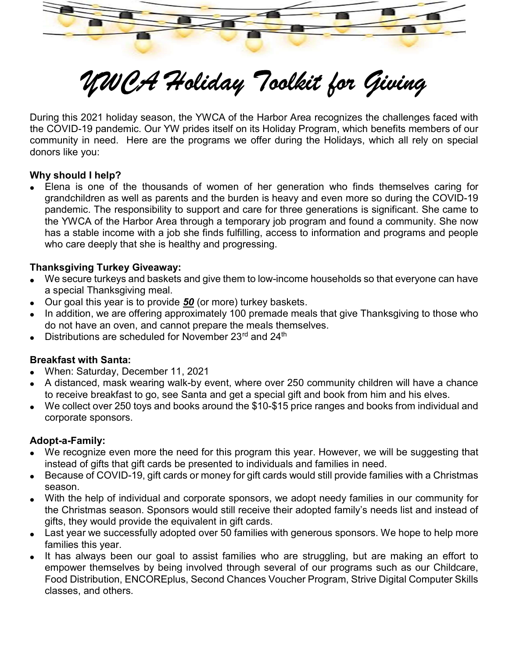

# YWCA Holiday Toolkit for Giving

During this 2021 holiday season, the YWCA of the Harbor Area recognizes the challenges faced with the COVID-19 pandemic. Our YW prides itself on its Holiday Program, which benefits members of our community in need. Here are the programs we offer during the Holidays, which all rely on special donors like you:

#### Why should I help?

 Elena is one of the thousands of women of her generation who finds themselves caring for grandchildren as well as parents and the burden is heavy and even more so during the COVID-19 pandemic. The responsibility to support and care for three generations is significant. She came to the YWCA of the Harbor Area through a temporary job program and found a community. She now has a stable income with a job she finds fulfilling, access to information and programs and people who care deeply that she is healthy and progressing.

#### Thanksgiving Turkey Giveaway:

- We secure turkeys and baskets and give them to low-income households so that everyone can have a special Thanksgiving meal.
- Our goal this year is to provide  $50$  (or more) turkey baskets.
- In addition, we are offering approximately 100 premade meals that give Thanksgiving to those who do not have an oven, and cannot prepare the meals themselves.
- $\bullet$  Distributions are scheduled for November 23<sup>rd</sup> and 24<sup>th</sup>

#### Breakfast with Santa:

- When: Saturday, December 11, 2021
- A distanced, mask wearing walk-by event, where over 250 community children will have a chance to receive breakfast to go, see Santa and get a special gift and book from him and his elves.
- We collect over 250 toys and books around the \$10-\$15 price ranges and books from individual and corporate sponsors.

#### Adopt-a-Family:

- We recognize even more the need for this program this year. However, we will be suggesting that instead of gifts that gift cards be presented to individuals and families in need.
- Because of COVID-19, gift cards or money for gift cards would still provide families with a Christmas season.
- With the help of individual and corporate sponsors, we adopt needy families in our community for the Christmas season. Sponsors would still receive their adopted family's needs list and instead of gifts, they would provide the equivalent in gift cards.
- Last year we successfully adopted over 50 families with generous sponsors. We hope to help more families this year.
- It has always been our goal to assist families who are struggling, but are making an effort to empower themselves by being involved through several of our programs such as our Childcare, Food Distribution, ENCOREplus, Second Chances Voucher Program, Strive Digital Computer Skills classes, and others.